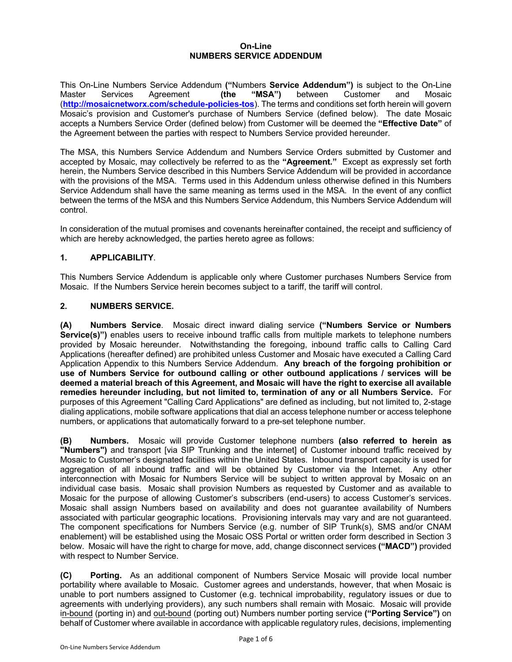#### **On-Line NUMBERS SERVICE ADDENDUM**

This On-Line Numbers Service Addendum **("**Numbers **Service Addendum")** is subject to the On-Line Master Services Agreement **(the "MSA")** between Customer and Mosaic (**http://mosaicnetworx.com/schedule-policies-tos**). The terms and conditions set forth herein will govern Mosaic's provision and Customer's purchase of Numbers Service (defined below). The date Mosaic accepts a Numbers Service Order (defined below) from Customer will be deemed the **"Effective Date"** of the Agreement between the parties with respect to Numbers Service provided hereunder.

The MSA, this Numbers Service Addendum and Numbers Service Orders submitted by Customer and accepted by Mosaic, may collectively be referred to as the **"Agreement."** Except as expressly set forth herein, the Numbers Service described in this Numbers Service Addendum will be provided in accordance with the provisions of the MSA. Terms used in this Addendum unless otherwise defined in this Numbers Service Addendum shall have the same meaning as terms used in the MSA. In the event of any conflict between the terms of the MSA and this Numbers Service Addendum, this Numbers Service Addendum will control.

In consideration of the mutual promises and covenants hereinafter contained, the receipt and sufficiency of which are hereby acknowledged, the parties hereto agree as follows:

### **1. APPLICABILITY**.

This Numbers Service Addendum is applicable only where Customer purchases Numbers Service from Mosaic. If the Numbers Service herein becomes subject to a tariff, the tariff will control.

### **2. NUMBERS SERVICE.**

**(A) Numbers Service**. Mosaic direct inward dialing service **("Numbers Service or Numbers Service(s)")** enables users to receive inbound traffic calls from multiple markets to telephone numbers provided by Mosaic hereunder. Notwithstanding the foregoing, inbound traffic calls to Calling Card Applications (hereafter defined) are prohibited unless Customer and Mosaic have executed a Calling Card Application Appendix to this Numbers Service Addendum. **Any breach of the forgoing prohibition or use of Numbers Service for outbound calling or other outbound applications / services will be deemed a material breach of this Agreement, and Mosaic will have the right to exercise all available remedies hereunder including, but not limited to, termination of any or all Numbers Service.** For purposes of this Agreement "Calling Card Applications" are defined as including, but not limited to, 2-stage dialing applications, mobile software applications that dial an access telephone number or access telephone numbers, or applications that automatically forward to a pre-set telephone number.

**(B) Numbers.** Mosaic will provide Customer telephone numbers **(also referred to herein as "Numbers")** and transport [via SIP Trunking and the internet] of Customer inbound traffic received by Mosaic to Customer's designated facilities within the United States. Inbound transport capacity is used for aggregation of all inbound traffic and will be obtained by Customer via the Internet. Any other interconnection with Mosaic for Numbers Service will be subject to written approval by Mosaic on an individual case basis. Mosaic shall provision Numbers as requested by Customer and as available to Mosaic for the purpose of allowing Customer's subscribers (end-users) to access Customer's services. Mosaic shall assign Numbers based on availability and does not guarantee availability of Numbers associated with particular geographic locations. Provisioning intervals may vary and are not guaranteed. The component specifications for Numbers Service (e.g. number of SIP Trunk(s), SMS and/or CNAM enablement) will be established using the Mosaic OSS Portal or written order form described in Section 3 below. Mosaic will have the right to charge for move, add, change disconnect services **("MACD")** provided with respect to Number Service.

**(C) Porting.** As an additional component of Numbers Service Mosaic will provide local number portability where available to Mosaic. Customer agrees and understands, however, that when Mosaic is unable to port numbers assigned to Customer (e.g. technical improbability, regulatory issues or due to agreements with underlying providers), any such numbers shall remain with Mosaic. Mosaic will provide in-bound (porting in) and out-bound (porting out) Numbers number porting service **("Porting Service")** on behalf of Customer where available in accordance with applicable regulatory rules, decisions, implementing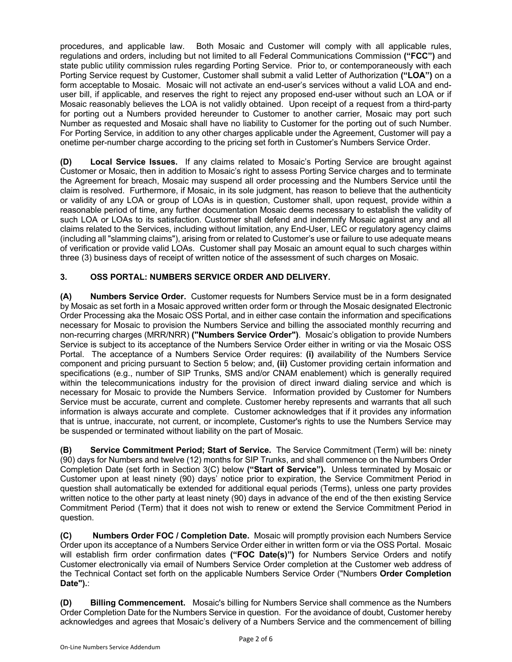procedures, and applicable law. Both Mosaic and Customer will comply with all applicable rules, regulations and orders, including but not limited to all Federal Communications Commission **("FCC")** and state public utility commission rules regarding Porting Service. Prior to, or contemporaneously with each Porting Service request by Customer, Customer shall submit a valid Letter of Authorization **("LOA")** on a form acceptable to Mosaic. Mosaic will not activate an end-user's services without a valid LOA and enduser bill, if applicable, and reserves the right to reject any proposed end-user without such an LOA or if Mosaic reasonably believes the LOA is not validly obtained. Upon receipt of a request from a third-party for porting out a Numbers provided hereunder to Customer to another carrier, Mosaic may port such Number as requested and Mosaic shall have no liability to Customer for the porting out of such Number. For Porting Service, in addition to any other charges applicable under the Agreement, Customer will pay a onetime per-number charge according to the pricing set forth in Customer's Numbers Service Order.

**(D) Local Service Issues.** If any claims related to Mosaic's Porting Service are brought against Customer or Mosaic, then in addition to Mosaic's right to assess Porting Service charges and to terminate the Agreement for breach, Mosaic may suspend all order processing and the Numbers Service until the claim is resolved. Furthermore, if Mosaic, in its sole judgment, has reason to believe that the authenticity or validity of any LOA or group of LOAs is in question, Customer shall, upon request, provide within a reasonable period of time, any further documentation Mosaic deems necessary to establish the validity of such LOA or LOAs to its satisfaction. Customer shall defend and indemnify Mosaic against any and all claims related to the Services, including without limitation, any End-User, LEC or regulatory agency claims (including all "slamming claims"), arising from or related to Customer's use or failure to use adequate means of verification or provide valid LOAs. Customer shall pay Mosaic an amount equal to such charges within three (3) business days of receipt of written notice of the assessment of such charges on Mosaic.

### **3. OSS PORTAL: NUMBERS SERVICE ORDER AND DELIVERY.**

**(A) Numbers Service Order.** Customer requests for Numbers Service must be in a form designated by Mosaic as set forth in a Mosaic approved written order form or through the Mosaic designated Electronic Order Processing aka the Mosaic OSS Portal, and in either case contain the information and specifications necessary for Mosaic to provision the Numbers Service and billing the associated monthly recurring and non-recurring charges (MRR/NRR) **("Numbers Service Order")**. Mosaic's obligation to provide Numbers Service is subject to its acceptance of the Numbers Service Order either in writing or via the Mosaic OSS Portal. The acceptance of a Numbers Service Order requires: **(i)** availability of the Numbers Service component and pricing pursuant to Section 5 below; and, **(ii)** Customer providing certain information and specifications (e.g., number of SIP Trunks, SMS and/or CNAM enablement) which is generally required within the telecommunications industry for the provision of direct inward dialing service and which is necessary for Mosaic to provide the Numbers Service. Information provided by Customer for Numbers Service must be accurate, current and complete. Customer hereby represents and warrants that all such information is always accurate and complete. Customer acknowledges that if it provides any information that is untrue, inaccurate, not current, or incomplete, Customer's rights to use the Numbers Service may be suspended or terminated without liability on the part of Mosaic.

**(B) Service Commitment Period; Start of Service.** The Service Commitment (Term) will be: ninety (90) days for Numbers and twelve (12) months for SIP Trunks, and shall commence on the Numbers Order Completion Date (set forth in Section 3(C) below **("Start of Service").** Unless terminated by Mosaic or Customer upon at least ninety (90) days' notice prior to expiration, the Service Commitment Period in question shall automatically be extended for additional equal periods (Terms), unless one party provides written notice to the other party at least ninety (90) days in advance of the end of the then existing Service Commitment Period (Term) that it does not wish to renew or extend the Service Commitment Period in question.

**(C) Numbers Order FOC / Completion Date.** Mosaic will promptly provision each Numbers Service Order upon its acceptance of a Numbers Service Order either in written form or via the OSS Portal. Mosaic will establish firm order confirmation dates **("FOC Date(s)")** for Numbers Service Orders and notify Customer electronically via email of Numbers Service Order completion at the Customer web address of the Technical Contact set forth on the applicable Numbers Service Order ("Numbers **Order Completion Date").**:

**(D) Billing Commencement.** Mosaic's billing for Numbers Service shall commence as the Numbers Order Completion Date for the Numbers Service in question. For the avoidance of doubt, Customer hereby acknowledges and agrees that Mosaic's delivery of a Numbers Service and the commencement of billing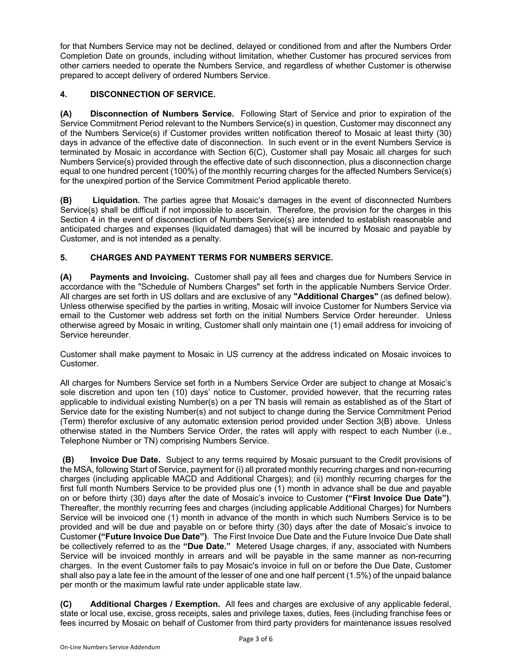for that Numbers Service may not be declined, delayed or conditioned from and after the Numbers Order Completion Date on grounds, including without limitation, whether Customer has procured services from other carriers needed to operate the Numbers Service, and regardless of whether Customer is otherwise prepared to accept delivery of ordered Numbers Service.

## **4. DISCONNECTION OF SERVICE.**

**(A) Disconnection of Numbers Service.** Following Start of Service and prior to expiration of the Service Commitment Period relevant to the Numbers Service(s) in question, Customer may disconnect any of the Numbers Service(s) if Customer provides written notification thereof to Mosaic at least thirty (30) days in advance of the effective date of disconnection. In such event or in the event Numbers Service is terminated by Mosaic in accordance with Section 6(C), Customer shall pay Mosaic all charges for such Numbers Service(s) provided through the effective date of such disconnection, plus a disconnection charge equal to one hundred percent (100%) of the monthly recurring charges for the affected Numbers Service(s) for the unexpired portion of the Service Commitment Period applicable thereto.

**(B) Liquidation.** The parties agree that Mosaic's damages in the event of disconnected Numbers Service(s) shall be difficult if not impossible to ascertain. Therefore, the provision for the charges in this Section 4 in the event of disconnection of Numbers Service(s) are intended to establish reasonable and anticipated charges and expenses (liquidated damages) that will be incurred by Mosaic and payable by Customer, and is not intended as a penalty.

# **5. CHARGES AND PAYMENT TERMS FOR NUMBERS SERVICE.**

**(A) Payments and Invoicing.** Customer shall pay all fees and charges due for Numbers Service in accordance with the "Schedule of Numbers Charges" set forth in the applicable Numbers Service Order. All charges are set forth in US dollars and are exclusive of any **"Additional Charges"** (as defined below). Unless otherwise specified by the parties in writing, Mosaic will invoice Customer for Numbers Service via email to the Customer web address set forth on the initial Numbers Service Order hereunder. Unless otherwise agreed by Mosaic in writing, Customer shall only maintain one (1) email address for invoicing of Service hereunder.

Customer shall make payment to Mosaic in US currency at the address indicated on Mosaic invoices to Customer.

All charges for Numbers Service set forth in a Numbers Service Order are subject to change at Mosaic's sole discretion and upon ten (10) days' notice to Customer, provided however, that the recurring rates applicable to individual existing Number(s) on a per TN basis will remain as established as of the Start of Service date for the existing Number(s) and not subject to change during the Service Commitment Period (Term) therefor exclusive of any automatic extension period provided under Section 3(B) above. Unless otherwise stated in the Numbers Service Order, the rates will apply with respect to each Number (i.e., Telephone Number or TN) comprising Numbers Service.

**(B) Invoice Due Date.** Subject to any terms required by Mosaic pursuant to the Credit provisions of the MSA, following Start of Service, payment for (i) all prorated monthly recurring charges and non-recurring charges (including applicable MACD and Additional Charges); and (ii) monthly recurring charges for the first full month Numbers Service to be provided plus one (1) month in advance shall be due and payable on or before thirty (30) days after the date of Mosaic's invoice to Customer **("First Invoice Due Date")**. Thereafter, the monthly recurring fees and charges (including applicable Additional Charges) for Numbers Service will be invoiced one (1) month in advance of the month in which such Numbers Service is to be provided and will be due and payable on or before thirty (30) days after the date of Mosaic's invoice to Customer **("Future Invoice Due Date")**. The First Invoice Due Date and the Future Invoice Due Date shall be collectively referred to as the **"Due Date."** Metered Usage charges, if any, associated with Numbers Service will be invoiced monthly in arrears and will be payable in the same manner as non-recurring charges. In the event Customer fails to pay Mosaic's invoice in full on or before the Due Date, Customer shall also pay a late fee in the amount of the lesser of one and one half percent (1.5%) of the unpaid balance per month or the maximum lawful rate under applicable state law.

**(C) Additional Charges / Exemption.** All fees and charges are exclusive of any applicable federal, state or local use, excise, gross receipts, sales and privilege taxes, duties, fees (including franchise fees or fees incurred by Mosaic on behalf of Customer from third party providers for maintenance issues resolved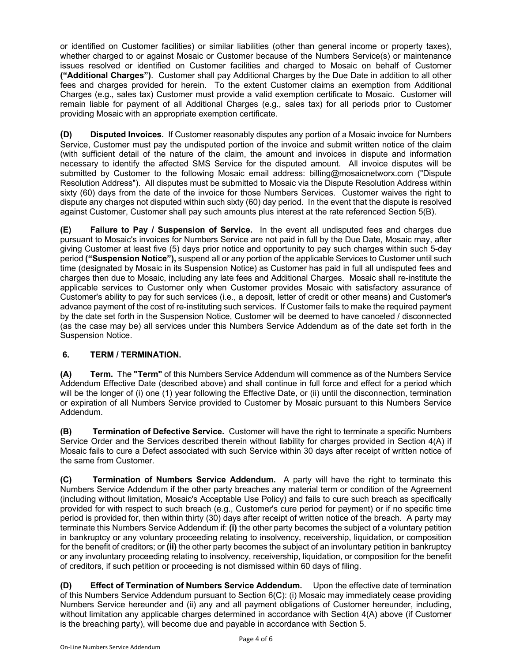or identified on Customer facilities) or similar liabilities (other than general income or property taxes), whether charged to or against Mosaic or Customer because of the Numbers Service(s) or maintenance issues resolved or identified on Customer facilities and charged to Mosaic on behalf of Customer **("Additional Charges")**. Customer shall pay Additional Charges by the Due Date in addition to all other fees and charges provided for herein. To the extent Customer claims an exemption from Additional Charges (e.g., sales tax) Customer must provide a valid exemption certificate to Mosaic. Customer will remain liable for payment of all Additional Charges (e.g., sales tax) for all periods prior to Customer providing Mosaic with an appropriate exemption certificate.

**(D) Disputed Invoices.** If Customer reasonably disputes any portion of a Mosaic invoice for Numbers Service, Customer must pay the undisputed portion of the invoice and submit written notice of the claim (with sufficient detail of the nature of the claim, the amount and invoices in dispute and information necessary to identify the affected SMS Service for the disputed amount. All invoice disputes will be submitted by Customer to the following Mosaic email address: billing@mosaicnetworx.com ("Dispute Resolution Address"). All disputes must be submitted to Mosaic via the Dispute Resolution Address within sixty (60) days from the date of the invoice for those Numbers Services. Customer waives the right to dispute any charges not disputed within such sixty (60) day period. In the event that the dispute is resolved against Customer, Customer shall pay such amounts plus interest at the rate referenced Section 5(B).

**(E) Failure to Pay / Suspension of Service.** In the event all undisputed fees and charges due pursuant to Mosaic's invoices for Numbers Service are not paid in full by the Due Date, Mosaic may, after giving Customer at least five (5) days prior notice and opportunity to pay such charges within such 5-day period **("Suspension Notice"),** suspend all or any portion of the applicable Services to Customer until such time (designated by Mosaic in its Suspension Notice) as Customer has paid in full all undisputed fees and charges then due to Mosaic, including any late fees and Additional Charges. Mosaic shall re-institute the applicable services to Customer only when Customer provides Mosaic with satisfactory assurance of Customer's ability to pay for such services (i.e., a deposit, letter of credit or other means) and Customer's advance payment of the cost of re-instituting such services. If Customer fails to make the required payment by the date set forth in the Suspension Notice, Customer will be deemed to have canceled / disconnected (as the case may be) all services under this Numbers Service Addendum as of the date set forth in the Suspension Notice.

### **6. TERM / TERMINATION.**

**(A) Term.** The **"Term"** of this Numbers Service Addendum will commence as of the Numbers Service Addendum Effective Date (described above) and shall continue in full force and effect for a period which will be the longer of (i) one (1) year following the Effective Date, or (ii) until the disconnection, termination or expiration of all Numbers Service provided to Customer by Mosaic pursuant to this Numbers Service Addendum.

**(B) Termination of Defective Service.** Customer will have the right to terminate a specific Numbers Service Order and the Services described therein without liability for charges provided in Section 4(A) if Mosaic fails to cure a Defect associated with such Service within 30 days after receipt of written notice of the same from Customer.

**(C) Termination of Numbers Service Addendum.** A party will have the right to terminate this Numbers Service Addendum if the other party breaches any material term or condition of the Agreement (including without limitation, Mosaic's Acceptable Use Policy) and fails to cure such breach as specifically provided for with respect to such breach (e.g., Customer's cure period for payment) or if no specific time period is provided for, then within thirty (30) days after receipt of written notice of the breach. A party may terminate this Numbers Service Addendum if: **(i)** the other party becomes the subject of a voluntary petition in bankruptcy or any voluntary proceeding relating to insolvency, receivership, liquidation, or composition for the benefit of creditors; or **(ii)** the other party becomes the subject of an involuntary petition in bankruptcy or any involuntary proceeding relating to insolvency, receivership, liquidation, or composition for the benefit of creditors, if such petition or proceeding is not dismissed within 60 days of filing.

**(D) Effect of Termination of Numbers Service Addendum.** Upon the effective date of termination of this Numbers Service Addendum pursuant to Section 6(C): (i) Mosaic may immediately cease providing Numbers Service hereunder and (ii) any and all payment obligations of Customer hereunder, including, without limitation any applicable charges determined in accordance with Section 4(A) above (if Customer is the breaching party), will become due and payable in accordance with Section 5.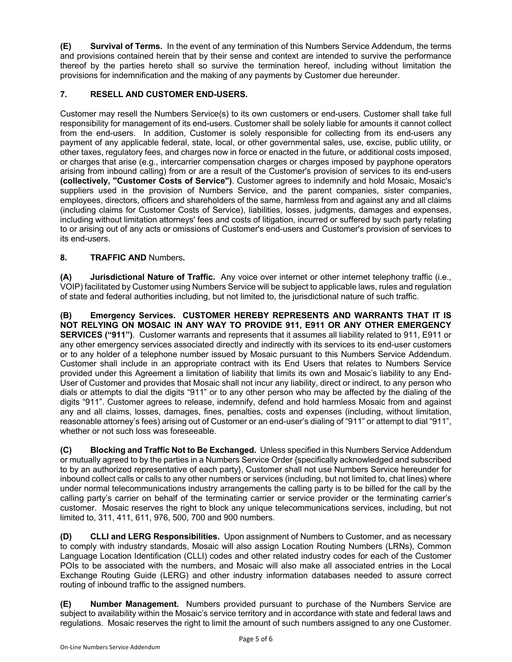**(E) Survival of Terms.** In the event of any termination of this Numbers Service Addendum, the terms and provisions contained herein that by their sense and context are intended to survive the performance thereof by the parties hereto shall so survive the termination hereof, including without limitation the provisions for indemnification and the making of any payments by Customer due hereunder.

### **7. RESELL AND CUSTOMER END-USERS.**

Customer may resell the Numbers Service(s) to its own customers or end-users. Customer shall take full responsibility for management of its end-users. Customer shall be solely liable for amounts it cannot collect from the end-users. In addition, Customer is solely responsible for collecting from its end-users any payment of any applicable federal, state, local, or other governmental sales, use, excise, public utility, or other taxes, regulatory fees, and charges now in force or enacted in the future, or additional costs imposed, or charges that arise (e.g., intercarrier compensation charges or charges imposed by payphone operators arising from inbound calling) from or are a result of the Customer's provision of services to its end-users **(collectively, "Customer Costs of Service")**. Customer agrees to indemnify and hold Mosaic, Mosaic's suppliers used in the provision of Numbers Service, and the parent companies, sister companies, employees, directors, officers and shareholders of the same, harmless from and against any and all claims (including claims for Customer Costs of Service), liabilities, losses, judgments, damages and expenses, including without limitation attorneys' fees and costs of litigation, incurred or suffered by such party relating to or arising out of any acts or omissions of Customer's end-users and Customer's provision of services to its end-users.

### **8. TRAFFIC AND** Numbers**.**

**(A) Jurisdictional Nature of Traffic.** Any voice over internet or other internet telephony traffic (i.e., VOIP) facilitated by Customer using Numbers Service will be subject to applicable laws, rules and regulation of state and federal authorities including, but not limited to, the jurisdictional nature of such traffic.

**(B) Emergency Services. CUSTOMER HEREBY REPRESENTS AND WARRANTS THAT IT IS NOT RELYING ON MOSAIC IN ANY WAY TO PROVIDE 911, E911 OR ANY OTHER EMERGENCY SERVICES ("911")**. Customer warrants and represents that it assumes all liability related to 911, E911 or any other emergency services associated directly and indirectly with its services to its end-user customers or to any holder of a telephone number issued by Mosaic pursuant to this Numbers Service Addendum. Customer shall include in an appropriate contract with its End Users that relates to Numbers Service provided under this Agreement a limitation of liability that limits its own and Mosaic's liability to any End-User of Customer and provides that Mosaic shall not incur any liability, direct or indirect, to any person who dials or attempts to dial the digits "911" or to any other person who may be affected by the dialing of the digits "911". Customer agrees to release, indemnify, defend and hold harmless Mosaic from and against any and all claims, losses, damages, fines, penalties, costs and expenses (including, without limitation, reasonable attorney's fees) arising out of Customer or an end-user's dialing of "911" or attempt to dial "911", whether or not such loss was foreseeable.

**(C) Blocking and Traffic Not to Be Exchanged.** Unless specified in this Numbers Service Addendum or mutually agreed to by the parties in a Numbers Service Order {specifically acknowledged and subscribed to by an authorized representative of each party}, Customer shall not use Numbers Service hereunder for inbound collect calls or calls to any other numbers or services (including, but not limited to, chat lines) where under normal telecommunications industry arrangements the calling party is to be billed for the call by the calling party's carrier on behalf of the terminating carrier or service provider or the terminating carrier's customer. Mosaic reserves the right to block any unique telecommunications services, including, but not limited to, 311, 411, 611, 976, 500, 700 and 900 numbers.

**(D) CLLI and LERG Responsibilities.** Upon assignment of Numbers to Customer, and as necessary to comply with industry standards, Mosaic will also assign Location Routing Numbers (LRNs), Common Language Location Identification (CLLI) codes and other related industry codes for each of the Customer POIs to be associated with the numbers, and Mosaic will also make all associated entries in the Local Exchange Routing Guide (LERG) and other industry information databases needed to assure correct routing of inbound traffic to the assigned numbers.

**(E) Number Management.** Numbers provided pursuant to purchase of the Numbers Service are subject to availability within the Mosaic's service territory and in accordance with state and federal laws and regulations. Mosaic reserves the right to limit the amount of such numbers assigned to any one Customer.